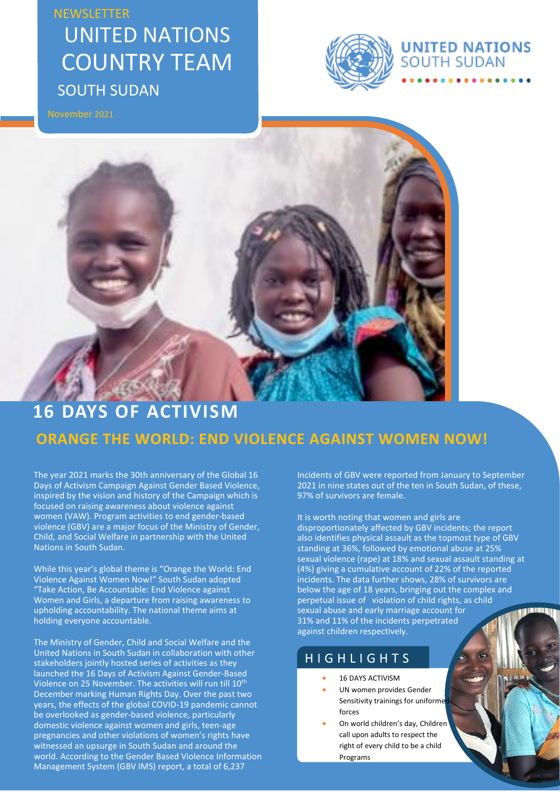## UNITED NATIONS COUNTRY TEAM SOUTH SUDAN **NEWSLETTER**



November 2021

# **16 DAYS OF ACTIVISM ORANGE THE WORLD: END VIOLENCE AGAINST WOMEN NOW!**

The year 2021 marks the 30th anniversary of the Global 16 Days of Activism Campaign Against Gender Based Violence, inspired by the vision and history of the Campaign which is focused on raising awareness about violence against women (VAW). Program activities to end gender-based violence (GBV) are a major focus of the Ministry of Gender, Child, and Social Welfare in partnership with the United Nations in South Sudan.

While this year's global theme is "Orange the World: End Violence Against Women Now!" South Sudan adopted "Take Action, Be Accountable: End Violence against Women and Girls, a departure from raising awareness to upholding accountability. The national theme aims at holding everyone accountable.

The Ministry of Gender, Child and Social Welfare and the United Nations in South Sudan in collaboration with other stakeholders jointly hosted series of activities as they launched the 16 Days of Activism Against Gender-Based Violence on 25 November. The activities will run till 10<sup>th</sup> December marking Human Rights Day. Over the past two years, the effects of the global COVID-19 pandemic cannot be overlooked as gender-based violence, particularly domestic violence against women and girls, teen-age pregnancies and other violations of women's rights have witnessed an upsurge in South Sudan and around the world. According to the Gender Based Violence Information Management System (GBV IMS) report, a total of 6,237

Incidents of GBV were reported from January to September 2021 in nine states out of the ten in South Sudan, of these, 97% of survivors are female.

It is worth noting that women and girls are disproportionately affected by GBV incidents; the report also identifies physical assault as the topmost type of GBV standing at 36%, followed by emotional abuse at 25% sexual violence (rape) at 18% and sexual assault standing at (4%) giving a cumulative account of 22% of the reported incidents. The data further shows, 28% of survivors are below the age of 18 years, bringing out the complex and perpetual issue of violation of child rights, as child sexual abuse and early marriage account for 31% and 11% of the incidents perpetrated against children respectively.

#### H I G H L I G H T S

- 16 DAYS ACTIVISM
- UN women provides Gender Sensitivity trainings for uniforme forces
- On world children's day, Children call upon adults to respect the right of every child to be a child Programs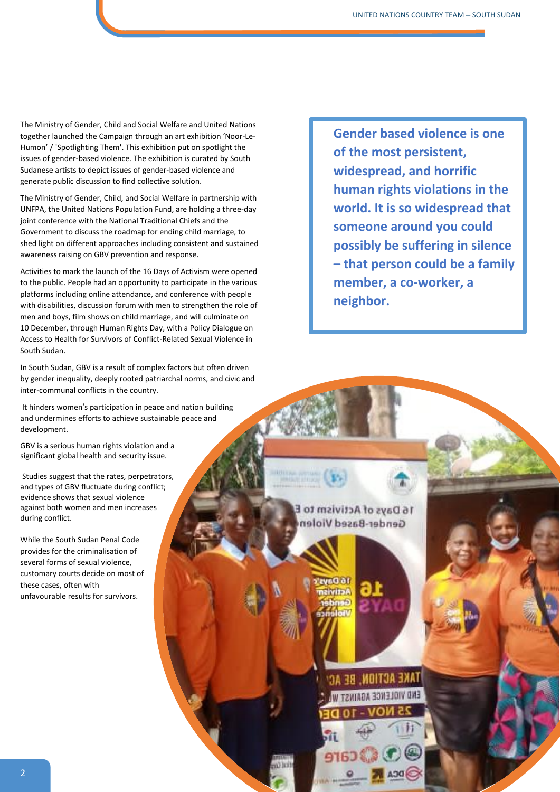The Ministry of Gender, Child and Social Welfare and United Nations together launched the Campaign through an art exhibition 'Noor-Le-Humon' / 'Spotlighting Them'. This exhibition put on spotlight the issues of gender-based violence. The exhibition is curated by South Sudanese artists to depict issues of gender-based violence and generate public discussion to find collective solution.

The Ministry of Gender, Child, and Social Welfare in partnership with UNFPA, the United Nations Population Fund, are holding a three-day joint conference with the National Traditional Chiefs and the Government to discuss the roadmap for ending child marriage, to shed light on different approaches including consistent and sustained awareness raising on GBV prevention and response.

Activities to mark the launch of the 16 Days of Activism were opened to the public. People had an opportunity to participate in the various platforms including online attendance, and conference with people with disabilities, discussion forum with men to strengthen the role of men and boys, film shows on child marriage, and will culminate on 10 December, through Human Rights Day, with a Policy Dialogue on Access to Health for Survivors of Conflict-Related Sexual Violence in South Sudan.

In South Sudan, GBV is a result of complex factors but often driven by gender inequality, deeply rooted patriarchal norms, and civic and inter-communal conflicts in the country.

It hinders women's participation in peace and nation building and undermines efforts to achieve sustainable peace and development.

GBV is a serious human rights violation and a significant global health and security issue.

Studies suggest that the rates, perpetrators, and types of GBV fluctuate during conflict; evidence shows that sexual violence against both women and men increases during conflict.

While the South Sudan Penal Code provides for the criminalisation of several forms of sexual violence, customary courts decide on most of these cases, often with unfavourable results for survivors.

**Gender based violence is one of the most persistent, widespread, and horrific human rights violations in the world. It is so widespread that someone around you could possibly be suffering in silence – that person could be a family member, a co-worker, a neighbor.**

**16 Days of Activism to** Gender-Based V

38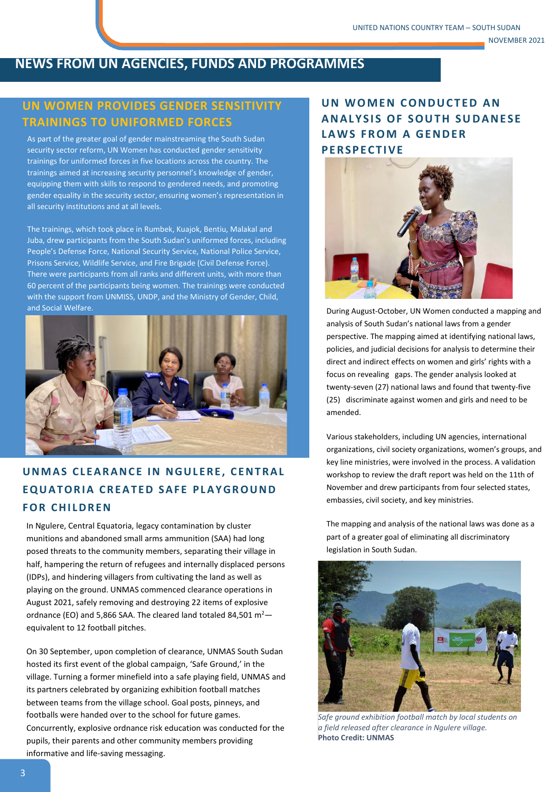#### **NEWS FROM UN AGENCIES, FUNDS AND PROGRAMMES**

#### **UN WOMEN PROVIDES GENDER SENSITIVITY TRAININGS TO UNIFORMED FORCES**

As part of the greater goal of gender mainstreaming the South Sudan security sector reform, UN Women has conducted gender sensitivity trainings for uniformed forces in five locations across the country. The trainings aimed at increasing security personnel's knowledge of gender, equipping them with skills to respond to gendered needs, and promoting gender equality in the security sector, ensuring women's representation in all security institutions and at all levels.

The trainings, which took place in Rumbek, Kuajok, Bentiu, Malakal and Juba, drew participants from the South Sudan's uniformed forces, including People's Defense Force, National Security Service, National Police Service, Prisons Service, Wildlife Service, and Fire Brigade (Civil Defense Force). There were participants from all ranks and different units, with more than 60 percent of the participants being women. The trainings were conducted with the support from UNMISS, UNDP, and the Ministry of Gender, Child, and Social Welfare. The contract of the contract of the conducted a mapping and Social Welfare.



#### UNMAS CLEARANCE IN NGULERE, CENTRAL **EQUATORIA CREATED SAFE PLAYGROUND FOR CHILDREN**

In Ngulere, Central Equatoria, legacy contamination by cluster munitions and abandoned small arms ammunition (SAA) had long posed threats to the community members, separating their village in half, hampering the return of refugees and internally displaced persons (IDPs), and hindering villagers from cultivating the land as well as playing on the ground. UNMAS commenced clearance operations in August 2021, safely removing and destroying 22 items of explosive ordnance (EO) and 5,866 SAA. The cleared land totaled 84,501  $m^2$  equivalent to 12 football pitches.

On 30 September, upon completion of clearance, UNMAS South Sudan hosted its first event of the global campaign, 'Safe Ground,' in the village. Turning a former minefield into a safe playing field, UNMAS and its partners celebrated by organizing exhibition football matches between teams from the village school. Goal posts, pinneys, and footballs were handed over to the school for future games. Concurrently, explosive ordnance risk education was conducted for the pupils, their parents and other community members providing informative and life-saving messaging.

#### **UN WOMEN CONDUCTED AN ANALYSIS OF SOUTH SUDANESE** LAWS FROM A GENDER **P E R S P E C T I V E**



analysis of South Sudan's national laws from a gender perspective. The mapping aimed at identifying national laws, policies, and judicial decisions for analysis to determine their direct and indirect effects on women and girls' rights with a focus on revealing gaps. The gender analysis looked at twenty-seven (27) national laws and found that twenty-five (25) discriminate against women and girls and need to be amended.

Various stakeholders, including UN agencies, international organizations, civil society organizations, women's groups, and key line ministries, were involved in the process. A validation workshop to review the draft report was held on the 11th of November and drew participants from four selected states, embassies, civil society, and key ministries.

The mapping and analysis of the national laws was done as a part of a greater goal of eliminating all discriminatory legislation in South Sudan.



*Safe ground exhibition football match by local students on a field released after clearance in Ngulere village.*  **Photo Credit: UNMAS**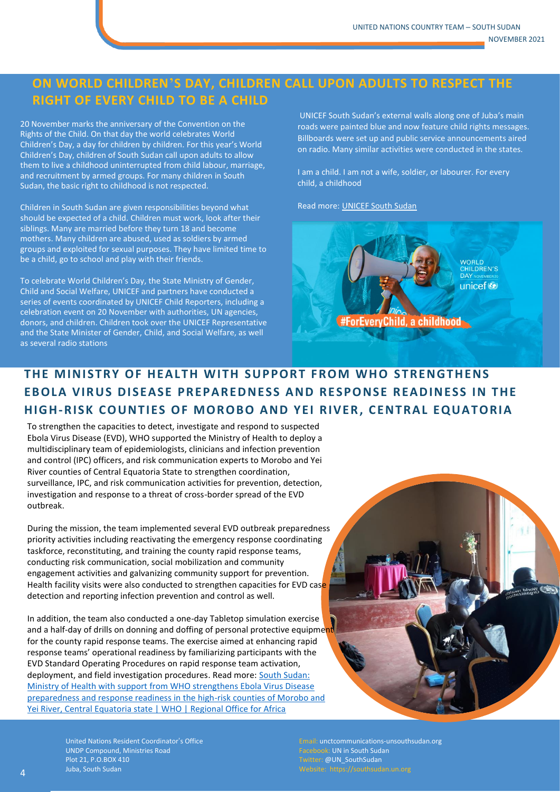#### **ON WORLD CHILDREN'S DAY, CHILDREN CALL UPON ADULTS TO RESPECT THE RIGHT OF EVERY CHILD TO BE A CHILD**

20 November marks the anniversary of the Convention on the Rights of the Child. On that day the world celebrates World Children's Day, a day for children by children. For this year's World Children's Day, children of South Sudan call upon adults to allow them to live a childhood uninterrupted from child labour, marriage, and recruitment by armed groups. For many children in South Sudan, the basic right to childhood is not respected.

Children in South Sudan are given responsibilities beyond what should be expected of a child. Children must work, look after their siblings. Many are married before they turn 18 and become mothers. Many children are abused, used as soldiers by armed groups and exploited for sexual purposes. They have limited time to be a child, go to school and play with their friends.

To celebrate World Children's Day, the State Ministry of Gender, Child and Social Welfare, UNICEF and partners have conducted a series of events coordinated by UNICEF Child Reporters, including a celebration event on 20 November with authorities, UN agencies, donors, and children. Children took over the UNICEF Representative and the State Minister of Gender, Child, and Social Welfare, as well as several radio stations

UNICEF South Sudan's external walls along one of Juba's main roads were painted blue and now feature child rights messages. Billboards were set up and public service announcements aired on radio. Many similar activities were conducted in the states.

I am a child. I am not a wife, soldier, or labourer. For every child, a childhood

Read more: [UNICEF South Sudan](https://www.unicef.org/southsudan/)



#### **THE MINISTRY OF HEALTH WITH SUPPORT FROM WHO STRENGTHENS EBOLA VIRUS DISEASE PREPAREDNESS AND RESPONSE READINESS IN THE HIGH-RISK COUNTIES OF MOROBO AND YEI RIVER, CENTRAL EQUATORIA**

To strengthen the capacities to detect, investigate and respond to suspected Ebola Virus Disease (EVD), WHO supported the Ministry of Health to deploy a multidisciplinary team of epidemiologists, clinicians and infection prevention and control (IPC) officers, and risk communication experts to Morobo and Yei River counties of Central Equatoria State to strengthen coordination, surveillance, IPC, and risk communication activities for prevention, detection, investigation and response to a threat of cross-border spread of the EVD outbreak.

During the mission, the team implemented several EVD outbreak preparedness priority activities including reactivating the emergency response coordinating taskforce, reconstituting, and training the county rapid response teams, conducting risk communication, social mobilization and community engagement activities and galvanizing community support for prevention. Health facility visits were also conducted to strengthen capacities for EVD case detection and reporting infection prevention and control as well.

In addition, the team also conducted a one-day Tabletop simulation exercise and a half-day of drills on donning and doffing of personal protective equipment for the county rapid response teams. The exercise aimed at enhancing rapid response teams' operational readiness by familiarizing participants with the EVD Standard Operating Procedures on rapid response team activation, deployment, and field investigation procedures. Read more: [South Sudan:](https://www.afro.who.int/news/south-sudan-ministry-health-support-who-strengthens-ebola-virus-disease-preparedness-and)  [Ministry of Health with support from WHO strengthens Ebola Virus Disease](https://www.afro.who.int/news/south-sudan-ministry-health-support-who-strengthens-ebola-virus-disease-preparedness-and)  [preparedness and response readiness in the high-risk counties of Morobo and](https://www.afro.who.int/news/south-sudan-ministry-health-support-who-strengthens-ebola-virus-disease-preparedness-and)  [Yei River, Central Equatoria state | WHO | Regional Office for Africa](https://www.afro.who.int/news/south-sudan-ministry-health-support-who-strengthens-ebola-virus-disease-preparedness-and)

> United Nations Resident Coordinator's Office UNDP Compound, Ministries Road Plot 21, P.O.BOX 410 Juba, South Sudan



Email: unctcommunications-unsouthsudan.org Facebook: UN in South Sudan Twitter: @UN\_SouthSudan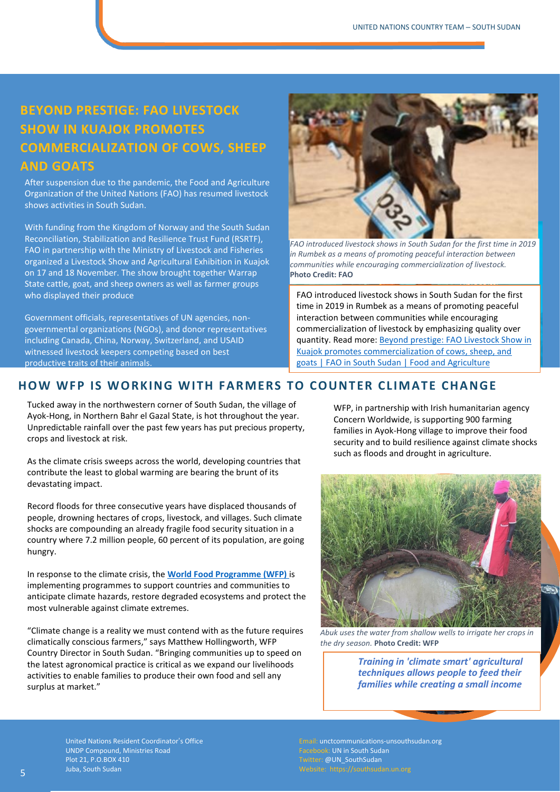### **BEYOND PRESTIGE: FAO LIVESTOCK SHOW IN KUAJOK PROMOTES COMMERCIALIZATION OF COWS, SHEEP AND GOATS**

After suspension due to the pandemic, the Food and Agriculture Organization of the United Nations (FAO) has resumed livestock shows activities in South Sudan.

With funding from the Kingdom of Norway and the South Sudan Reconciliation, Stabilization and Resilience Trust Fund (RSRTF), FAO in partnership with the Ministry of Livestock and Fisheries organized a Livestock Show and Agricultural Exhibition in Kuajok on 17 and 18 November. The show brought together Warrap State cattle, goat, and sheep owners as well as farmer groups who displayed their produce

Government officials, representatives of UN agencies, nongovernmental organizations (NGOs), and donor representatives including Canada, China, Norway, Switzerland, and USAID witnessed livestock keepers competing based on best productive traits of their animals.



*FAO introduced livestock shows in South Sudan for the first time in 2019 in Rumbek as a means of promoting peaceful interaction between communities while encouraging commercialization of livestock.*  **Photo Credit: FAO**

FAO introduced livestock shows in South Sudan for the first time in 2019 in Rumbek as a means of promoting peaceful interaction between communities while encouraging commercialization of livestock by emphasizing quality over quantity. Read more[: Beyond prestige: FAO Livestock Show in](https://www.fao.org/south-sudan/news/detail-events/en/c/1456968/)  [Kuajok promotes commercialization of cows, sheep, and](https://www.fao.org/south-sudan/news/detail-events/en/c/1456968/)  goats | FAO in South Sudan | [Food and Agriculture](https://www.fao.org/south-sudan/news/detail-events/en/c/1456968/) 

#### **HOW WFP IS WORKING WITH FARMERS TO COUNTER CLIMATE CHANGE** Organization of the United Nations

Tucked away in the northwestern corner of South Sudan, the village of Ayok-Hong, in Northern Bahr el Gazal State, is hot throughout the year. Unpredictable rainfall over the past few years has put precious property, crops and livestock at risk.

As the climate crisis sweeps across the world, developing countries that contribute the least to global warming are bearing the brunt of its devastating impact.

Record floods for three consecutive years have displaced thousands of people, drowning hectares of crops, livestock, and villages. Such climate shocks are compounding an already fragile food security situation in a country where 7.2 million people, 60 percent of its population, are going hungry.

In response to the climate crisis, the **[World Food Programme \(WFP\)](https://www.wfp.org/countries/south-sudan)** is implementing programmes to support countries and communities to anticipate climate hazards, restore degraded ecosystems and protect the most vulnerable against climate extremes.

"Climate change is a reality we must contend with as the future requires climatically conscious farmers," says Matthew Hollingworth, WFP Country Director in South Sudan. "Bringing communities up to speed on the latest agronomical practice is critical as we expand our livelihoods activities to enable families to produce their own food and sell any surplus at market."

WFP, in partnership with Irish humanitarian agency Concern Worldwide, is supporting 900 farming families in Ayok-Hong village to improve their food security and to build resilience against climate shocks such as floods and drought in agriculture.



*Abuk uses the water from shallow wells to irrigate her crops in the dry season.* **Photo Credit: WFP**

*Training in 'climate smart' agricultural techniques allows people to feed their families while creating a small income*

United Nations Resident Coordinator's Office UNDP Compound, Ministries Road Plot 21, P.O.BOX 410 Juba, South Sudan